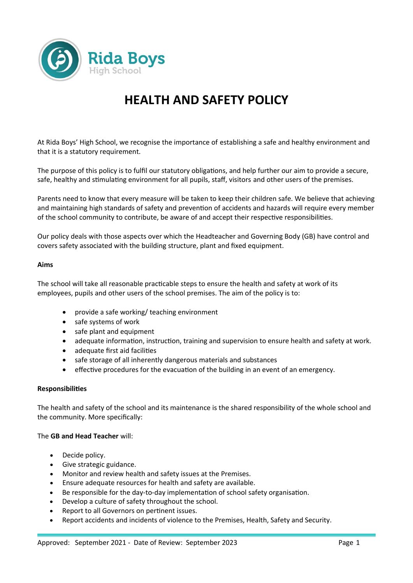

# **HEALTH AND SAFETY POLICY**

At Rida Boys' High School, we recognise the importance of establishing a safe and healthy environment and that it is a statutory requirement.

The purpose of this policy is to fulfil our statutory obligations, and help further our aim to provide a secure, safe, healthy and stimulating environment for all pupils, staff, visitors and other users of the premises.

Parents need to know that every measure will be taken to keep their children safe. We believe that achieving and maintaining high standards of safety and prevention of accidents and hazards will require every member of the school community to contribute, be aware of and accept their respective responsibilities.

Our policy deals with those aspects over which the Headteacher and Governing Body (GB) have control and covers safety associated with the building structure, plant and fixed equipment.

#### **Aims**

The school will take all reasonable practicable steps to ensure the health and safety at work of its employees, pupils and other users of the school premises. The aim of the policy is to:

- provide a safe working/ teaching environment
- safe systems of work
- safe plant and equipment
- adequate information, instruction, training and supervision to ensure health and safety at work.
- adequate first aid facilities
- safe storage of all inherently dangerous materials and substances
- effective procedures for the evacuation of the building in an event of an emergency.

## **Responsibilities**

The health and safety of the school and its maintenance is the shared responsibility of the whole school and the community. More specifically:

## The **GB and Head Teacher** will:

- Decide policy.
- Give strategic guidance.
- Monitor and review health and safety issues at the Premises.
- Ensure adequate resources for health and safety are available.
- Be responsible for the day-to-day implementation of school safety organisation.
- Develop a culture of safety throughout the school.
- Report to all Governors on pertinent issues.
- Report accidents and incidents of violence to the Premises, Health, Safety and Security.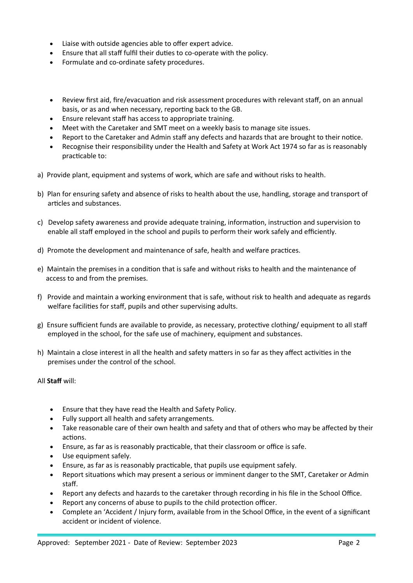- Liaise with outside agencies able to offer expert advice.
- Ensure that all staff fulfil their duties to co-operate with the policy.
- Formulate and co-ordinate safety procedures.
- Review first aid, fire/evacuation and risk assessment procedures with relevant staff, on an annual basis, or as and when necessary, reporting back to the GB.
- Ensure relevant staff has access to appropriate training.
- Meet with the Caretaker and SMT meet on a weekly basis to manage site issues.
- Report to the Caretaker and Admin staff any defects and hazards that are brought to their notice.
- Recognise their responsibility under the Health and Safety at Work Act 1974 so far as is reasonably practicable to:
- a) Provide plant, equipment and systems of work, which are safe and without risks to health.
- b) Plan for ensuring safety and absence of risks to health about the use, handling, storage and transport of articles and substances.
- c) Develop safety awareness and provide adequate training, information, instruction and supervision to enable all staff employed in the school and pupils to perform their work safely and efficiently.
- d) Promote the development and maintenance of safe, health and welfare practices.
- e) Maintain the premises in a condition that is safe and without risks to health and the maintenance of access to and from the premises.
- f) Provide and maintain a working environment that is safe, without risk to health and adequate as regards welfare facilities for staff, pupils and other supervising adults.
- g) Ensure sufficient funds are available to provide, as necessary, protective clothing/ equipment to all staff employed in the school, for the safe use of machinery, equipment and substances.
- h) Maintain a close interest in all the health and safety matters in so far as they affect activities in the premises under the control of the school.
- All **Staff** will:
	- Ensure that they have read the Health and Safety Policy.
	- Fully support all health and safety arrangements.
	- Take reasonable care of their own health and safety and that of others who may be affected by their actions.
	- Ensure, as far as is reasonably practicable, that their classroom or office is safe.
	- Use equipment safely.
	- Ensure, as far as is reasonably practicable, that pupils use equipment safely.
	- Report situations which may present a serious or imminent danger to the SMT, Caretaker or Admin staff.
	- Report any defects and hazards to the caretaker through recording in his file in the School Office.
	- Report any concerns of abuse to pupils to the child protection officer.
	- Complete an 'Accident / Injury form, available from in the School Office, in the event of a significant accident or incident of violence.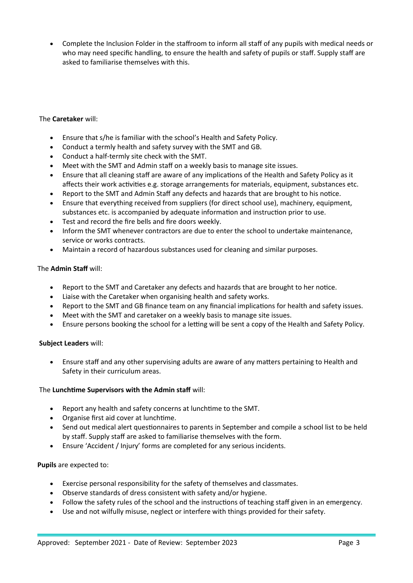Complete the Inclusion Folder in the staffroom to inform all staff of any pupils with medical needs or who may need specific handling, to ensure the health and safety of pupils or staff. Supply staff are asked to familiarise themselves with this.

# The **Caretaker** will:

- Ensure that s/he is familiar with the school's Health and Safety Policy.
- Conduct a termly health and safety survey with the SMT and GB.
- Conduct a half-termly site check with the SMT.
- Meet with the SMT and Admin staff on a weekly basis to manage site issues.
- Ensure that all cleaning staff are aware of any implications of the Health and Safety Policy as it affects their work activities e.g. storage arrangements for materials, equipment, substances etc.
- Report to the SMT and Admin Staff any defects and hazards that are brought to his notice.
- Ensure that everything received from suppliers (for direct school use), machinery, equipment, substances etc. is accompanied by adequate information and instruction prior to use.
- Test and record the fire bells and fire doors weekly.
- Inform the SMT whenever contractors are due to enter the school to undertake maintenance, service or works contracts.
- Maintain a record of hazardous substances used for cleaning and similar purposes.

## The **Admin Staff** will:

- Report to the SMT and Caretaker any defects and hazards that are brought to her notice.
- Liaise with the Caretaker when organising health and safety works.
- Report to the SMT and GB finance team on any financial implications for health and safety issues.
- Meet with the SMT and caretaker on a weekly basis to manage site issues.
- Ensure persons booking the school for a letting will be sent a copy of the Health and Safety Policy.

## **Subject Leaders** will:

 Ensure staff and any other supervising adults are aware of any matters pertaining to Health and Safety in their curriculum areas.

## The **Lunchtime Supervisors with the Admin staff** will:

- Report any health and safety concerns at lunchtime to the SMT.
- Organise first aid cover at lunchtime.
- Send out medical alert questionnaires to parents in September and compile a school list to be held by staff. Supply staff are asked to familiarise themselves with the form.
- Ensure 'Accident / Injury' forms are completed for any serious incidents.

## **Pupils** are expected to:

- Exercise personal responsibility for the safety of themselves and classmates.
- Observe standards of dress consistent with safety and/or hygiene.
- Follow the safety rules of the school and the instructions of teaching staff given in an emergency.
- Use and not wilfully misuse, neglect or interfere with things provided for their safety.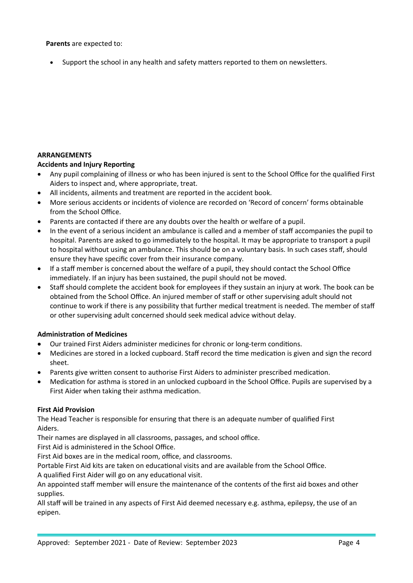#### **Parents** are expected to:

• Support the school in any health and safety matters reported to them on newsletters.

# **ARRANGEMENTS**

# **Accidents and Injury Reporting**

- Any pupil complaining of illness or who has been injured is sent to the School Office for the qualified First Aiders to inspect and, where appropriate, treat.
- All incidents, ailments and treatment are reported in the accident book.
- More serious accidents or incidents of violence are recorded on 'Record of concern' forms obtainable from the School Office.
- Parents are contacted if there are any doubts over the health or welfare of a pupil.
- In the event of a serious incident an ambulance is called and a member of staff accompanies the pupil to hospital. Parents are asked to go immediately to the hospital. It may be appropriate to transport a pupil to hospital without using an ambulance. This should be on a voluntary basis. In such cases staff, should ensure they have specific cover from their insurance company.
- If a staff member is concerned about the welfare of a pupil, they should contact the School Office immediately. If an injury has been sustained, the pupil should not be moved.
- Staff should complete the accident book for employees if they sustain an injury at work. The book can be obtained from the School Office. An injured member of staff or other supervising adult should not continue to work if there is any possibility that further medical treatment is needed. The member of staff or other supervising adult concerned should seek medical advice without delay.

## **Administration of Medicines**

- Our trained First Aiders administer medicines for chronic or long-term conditions.
- Medicines are stored in a locked cupboard. Staff record the time medication is given and sign the record sheet.
- Parents give written consent to authorise First Aiders to administer prescribed medication.
- Medication for asthma is stored in an unlocked cupboard in the School Office. Pupils are supervised by a First Aider when taking their asthma medication.

## **First Aid Provision**

The Head Teacher is responsible for ensuring that there is an adequate number of qualified First Aiders.

Their names are displayed in all classrooms, passages, and school office.

First Aid is administered in the School Office.

First Aid boxes are in the medical room, office, and classrooms.

Portable First Aid kits are taken on educational visits and are available from the School Office.

A qualified First Aider will go on any educational visit.

An appointed staff member will ensure the maintenance of the contents of the first aid boxes and other supplies.

All staff will be trained in any aspects of First Aid deemed necessary e.g. asthma, epilepsy, the use of an epipen.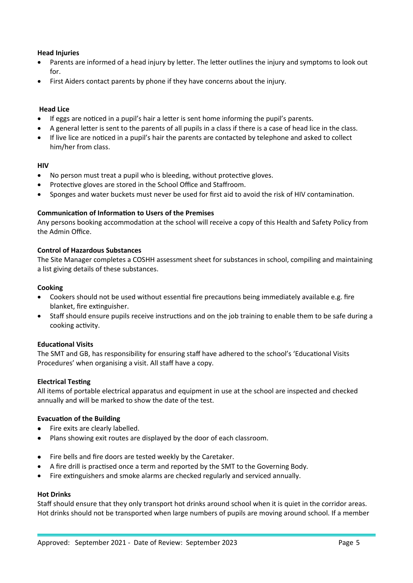# **Head Injuries**

- Parents are informed of a head injury by letter. The letter outlines the injury and symptoms to look out for.
- First Aiders contact parents by phone if they have concerns about the injury.

## **Head Lice**

- If eggs are noticed in a pupil's hair a letter is sent home informing the pupil's parents.
- A general letter is sent to the parents of all pupils in a class if there is a case of head lice in the class.
- If live lice are noticed in a pupil's hair the parents are contacted by telephone and asked to collect him/her from class.

## **HIV**

- No person must treat a pupil who is bleeding, without protective gloves.
- Protective gloves are stored in the School Office and Staffroom.
- Sponges and water buckets must never be used for first aid to avoid the risk of HIV contamination.

## **Communication of Information to Users of the Premises**

Any persons booking accommodation at the school will receive a copy of this Health and Safety Policy from the Admin Office.

## **Control of Hazardous Substances**

The Site Manager completes a COSHH assessment sheet for substances in school, compiling and maintaining a list giving details of these substances.

## **Cooking**

- Cookers should not be used without essential fire precautions being immediately available e.g. fire blanket, fire extinguisher.
- Staff should ensure pupils receive instructions and on the job training to enable them to be safe during a cooking activity.

## **Educational Visits**

The SMT and GB, has responsibility for ensuring staff have adhered to the school's 'Educational Visits Procedures' when organising a visit. All staff have a copy.

## **Electrical Testing**

All items of portable electrical apparatus and equipment in use at the school are inspected and checked annually and will be marked to show the date of the test.

## **Evacuation of the Building**

- Fire exits are clearly labelled.
- Plans showing exit routes are displayed by the door of each classroom.
- Fire bells and fire doors are tested weekly by the Caretaker.
- A fire drill is practised once a term and reported by the SMT to the Governing Body.
- Fire extinguishers and smoke alarms are checked regularly and serviced annually.

## **Hot Drinks**

Staff should ensure that they only transport hot drinks around school when it is quiet in the corridor areas. Hot drinks should not be transported when large numbers of pupils are moving around school. If a member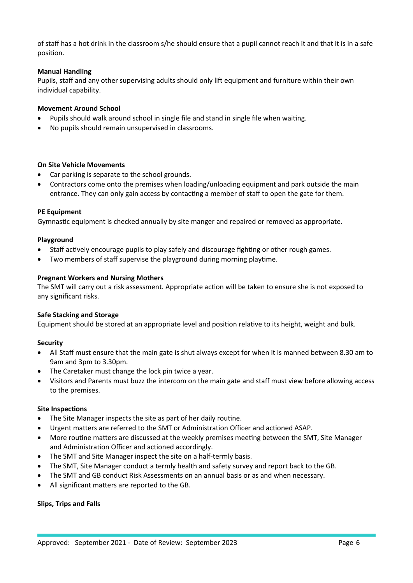of staff has a hot drink in the classroom s/he should ensure that a pupil cannot reach it and that it is in a safe position.

# **Manual Handling**

Pupils, staff and any other supervising adults should only lift equipment and furniture within their own individual capability.

## **Movement Around School**

- Pupils should walk around school in single file and stand in single file when waiting.
- No pupils should remain unsupervised in classrooms.

## **On Site Vehicle Movements**

- Car parking is separate to the school grounds.
- Contractors come onto the premises when loading/unloading equipment and park outside the main entrance. They can only gain access by contacting a member of staff to open the gate for them.

## **PE Equipment**

Gymnastic equipment is checked annually by site manger and repaired or removed as appropriate.

#### **Playground**

- Staff actively encourage pupils to play safely and discourage fighting or other rough games.
- Two members of staff supervise the playground during morning playtime.

#### **Pregnant Workers and Nursing Mothers**

The SMT will carry out a risk assessment. Appropriate action will be taken to ensure she is not exposed to any significant risks.

#### **Safe Stacking and Storage**

Equipment should be stored at an appropriate level and position relative to its height, weight and bulk.

## **Security**

- All Staff must ensure that the main gate is shut always except for when it is manned between 8.30 am to 9am and 3pm to 3.30pm.
- The Caretaker must change the lock pin twice a year.
- Visitors and Parents must buzz the intercom on the main gate and staff must view before allowing access to the premises.

#### **Site Inspections**

- The Site Manager inspects the site as part of her daily routine.
- Urgent matters are referred to the SMT or Administration Officer and actioned ASAP.
- More routine matters are discussed at the weekly premises meeting between the SMT, Site Manager and Administration Officer and actioned accordingly.
- The SMT and Site Manager inspect the site on a half-termly basis.
- The SMT, Site Manager conduct a termly health and safety survey and report back to the GB.
- The SMT and GB conduct Risk Assessments on an annual basis or as and when necessary.
- All significant matters are reported to the GB.

## **Slips, Trips and Falls**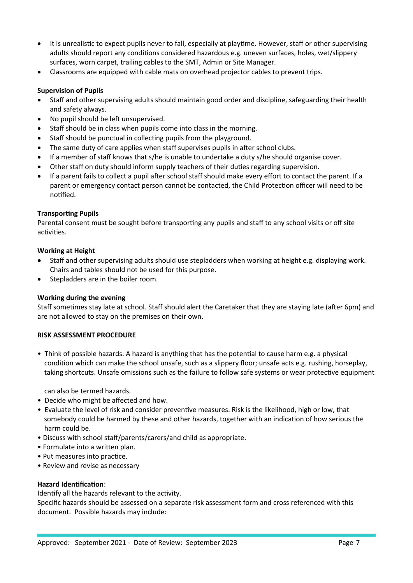- It is unrealistic to expect pupils never to fall, especially at playtime. However, staff or other supervising adults should report any conditions considered hazardous e.g. uneven surfaces, holes, wet/slippery surfaces, worn carpet, trailing cables to the SMT, Admin or Site Manager.
- Classrooms are equipped with cable mats on overhead projector cables to prevent trips.

## **Supervision of Pupils**

- Staff and other supervising adults should maintain good order and discipline, safeguarding their health and safety always.
- No pupil should be left unsupervised.
- Staff should be in class when pupils come into class in the morning.
- Staff should be punctual in collecting pupils from the playground.
- The same duty of care applies when staff supervises pupils in after school clubs.
- $\bullet$  If a member of staff knows that s/he is unable to undertake a duty s/he should organise cover.
- Other staff on duty should inform supply teachers of their duties regarding supervision.
- If a parent fails to collect a pupil after school staff should make every effort to contact the parent. If a parent or emergency contact person cannot be contacted, the Child Protection officer will need to be notified.

# **Transporting Pupils**

Parental consent must be sought before transporting any pupils and staff to any school visits or off site activities.

# **Working at Height**

- Staff and other supervising adults should use stepladders when working at height e.g. displaying work. Chairs and tables should not be used for this purpose.
- Stepladders are in the boiler room.

## **Working during the evening**

Staff sometimes stay late at school. Staff should alert the Caretaker that they are staying late (after 6pm) and are not allowed to stay on the premises on their own.

## **RISK ASSESSMENT PROCEDURE**

• Think of possible hazards. A hazard is anything that has the potential to cause harm e.g. a physical condition which can make the school unsafe, such as a slippery floor; unsafe acts e.g. rushing, horseplay, taking shortcuts. Unsafe omissions such as the failure to follow safe systems or wear protective equipment

can also be termed hazards.

- Decide who might be affected and how.
- Evaluate the level of risk and consider preventive measures. Risk is the likelihood, high or low, that somebody could be harmed by these and other hazards, together with an indication of how serious the harm could be.
- Discuss with school staff/parents/carers/and child as appropriate.
- Formulate into a written plan.
- Put measures into practice.
- Review and revise as necessary

## **Hazard Identification**:

Identify all the hazards relevant to the activity.

Specific hazards should be assessed on a separate risk assessment form and cross referenced with this document. Possible hazards may include: